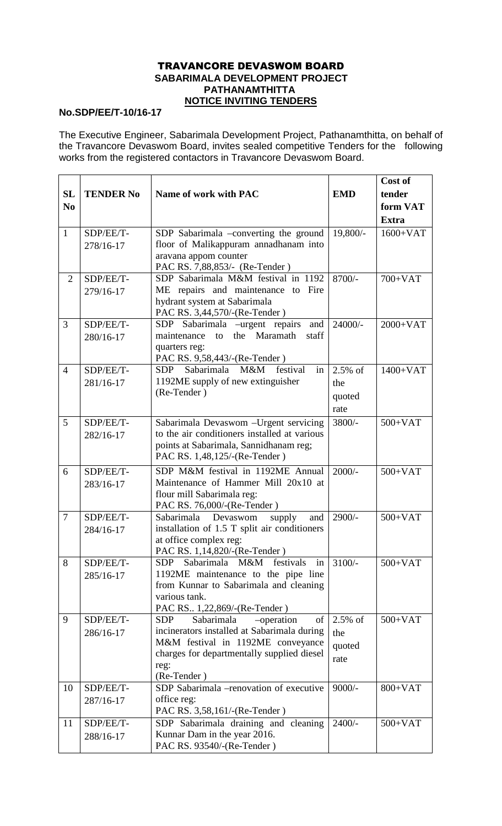## TRAVANCORE DEVASWOM BOARD  **SABARIMALA DEVELOPMENT PROJECT PATHANAMTHITTA NOTICE INVITING TENDERS**

## **No.SDP/EE/T-10/16-17**

The Executive Engineer, Sabarimala Development Project, Pathanamthitta, on behalf of the Travancore Devaswom Board, invites sealed competitive Tenders for the following works from the registered contactors in Travancore Devaswom Board.

|                |                  |                                                                      |            | Cost of      |
|----------------|------------------|----------------------------------------------------------------------|------------|--------------|
| <b>SL</b>      | <b>TENDER No</b> | Name of work with PAC                                                | <b>EMD</b> | tender       |
| N <sub>0</sub> |                  |                                                                      |            | form VAT     |
|                |                  |                                                                      |            | <b>Extra</b> |
| $\mathbf{1}$   | SDP/EE/T-        | SDP Sabarimala -converting the ground                                | 19,800/-   | $1600+VAT$   |
|                | 278/16-17        | floor of Malikappuram annadhanam into                                |            |              |
|                |                  | aravana appom counter                                                |            |              |
|                |                  | PAC RS. 7,88,853/- (Re-Tender)                                       |            |              |
| $\overline{2}$ | SDP/EE/T-        | SDP Sabarimala M&M festival in 1192                                  | 8700/-     | 700+VAT      |
|                | 279/16-17        | ME repairs and maintenance to Fire                                   |            |              |
|                |                  | hydrant system at Sabarimala                                         |            |              |
|                |                  | PAC RS. 3,44,570/-(Re-Tender)                                        |            |              |
| 3              | SDP/EE/T-        | SDP Sabarimala –urgent repairs<br>and                                | $24000/-$  | $2000+VAT$   |
|                | 280/16-17        | the Maramath<br>maintenance to<br>staff                              |            |              |
|                |                  | quarters reg:<br>PAC RS. 9,58,443/-(Re-Tender)                       |            |              |
| $\overline{4}$ | SDP/EE/T-        | M&M<br>Sabarimala<br>festival<br><b>SDP</b><br>in                    | 2.5% of    | $1400+VAT$   |
|                | 281/16-17        | 1192ME supply of new extinguisher                                    | the        |              |
|                |                  | (Re-Tender)                                                          | quoted     |              |
|                |                  |                                                                      | rate       |              |
| 5              | SDP/EE/T-        | Sabarimala Devaswom - Urgent servicing<br>3800/-                     |            | $500+VAT$    |
|                |                  | to the air conditioners installed at various                         |            |              |
|                | 282/16-17        | points at Sabarimala, Sannidhanam reg;                               |            |              |
|                |                  | PAC RS. 1,48,125/-(Re-Tender)                                        |            |              |
| 6              | SDP/EE/T-        | SDP M&M festival in 1192ME Annual                                    | $2000/-$   | $500+VAT$    |
|                | 283/16-17        | Maintenance of Hammer Mill 20x10 at                                  |            |              |
|                |                  | flour mill Sabarimala reg:                                           |            |              |
|                |                  | PAC RS. 76,000/-(Re-Tender)                                          |            |              |
| $\overline{7}$ | SDP/EE/T-        | Sabarimala Devaswom<br>supply<br>and                                 | $2900/-$   | $500+VAT$    |
|                | 284/16-17        | installation of 1.5 T split air conditioners                         |            |              |
|                |                  | at office complex reg:                                               |            |              |
| 8              |                  | PAC RS. 1,14,820/-(Re-Tender)<br>Sabarimala M&M                      | $3100/-$   |              |
|                | SDP/EE/T-        | festivals<br><b>SDP</b><br>in<br>1192ME maintenance to the pipe line |            | $500+VAT$    |
|                | 285/16-17        | from Kunnar to Sabarimala and cleaning                               |            |              |
|                |                  | various tank.                                                        |            |              |
|                |                  | PAC RS. 1,22,869/-(Re-Tender)                                        |            |              |
| 9              | SDP/EE/T-        | Sabarimala<br>-operation<br>of<br>SDP                                | $2.5\%$ of | $500+VAT$    |
|                | 286/16-17        | incinerators installed at Sabarimala during                          | the        |              |
|                |                  | M&M festival in 1192ME conveyance                                    | quoted     |              |
|                |                  | charges for departmentally supplied diesel                           | rate       |              |
|                |                  | reg:                                                                 |            |              |
| 10             | SDP/EE/T-        | (Re-Tender)<br>SDP Sabarimala -renovation of executive               | $9000/-$   | $800+VAT$    |
|                | 287/16-17        | office reg:                                                          |            |              |
|                |                  | PAC RS. 3,58,161/-(Re-Tender)                                        |            |              |
| 11             | SDP/EE/T-        | SDP Sabarimala draining and cleaning                                 | $2400/-$   | $500+VAT$    |
|                | 288/16-17        | Kunnar Dam in the year 2016.                                         |            |              |
|                |                  | PAC RS. 93540/-(Re-Tender)                                           |            |              |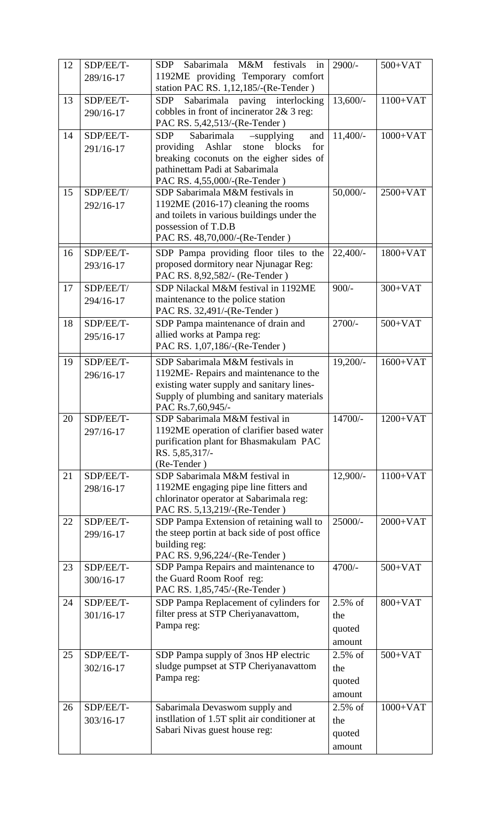| 12 | SDP/EE/T-     | Sabarimala<br>M&M<br>festivals<br><b>SDP</b><br>in | $2900/-$    | $500+VAT$  |
|----|---------------|----------------------------------------------------|-------------|------------|
|    | 289/16-17     | 1192ME providing Temporary comfort                 |             |            |
|    |               | station PAC RS. 1,12,185/-(Re-Tender)              |             |            |
| 13 | SDP/EE/T-     | Sabarimala paving interlocking<br><b>SDP</b>       | $13,600/-$  | $1100+VAT$ |
|    | 290/16-17     | cobbles in front of incinerator 2& 3 reg:          |             |            |
|    |               | PAC RS. 5,42,513/-(Re-Tender)                      |             |            |
| 14 | SDP/EE/T-     | <b>SDP</b><br>Sabarimala<br>-supplying<br>and      | $11,400/-$  | $1000+VAT$ |
|    | 291/16-17     | Ashlar<br>blocks<br>providing<br>stone<br>for      |             |            |
|    |               | breaking coconuts on the eigher sides of           |             |            |
|    |               | pathinettam Padi at Sabarimala                     |             |            |
|    |               | PAC RS. 4,55,000/-(Re-Tender)                      |             |            |
| 15 | SDP/EE/T/     | SDP Sabarimala M&M festivals in                    | $50,000/$ - | $2500+VAT$ |
|    | 292/16-17     | 1192ME (2016-17) cleaning the rooms                |             |            |
|    |               | and toilets in various buildings under the         |             |            |
|    |               | possession of T.D.B                                |             |            |
|    |               | PAC RS. 48,70,000/-(Re-Tender)                     |             |            |
| 16 | SDP/EE/T-     | SDP Pampa providing floor tiles to the             | $22,400/-$  | $1800+VAT$ |
|    |               | proposed dormitory near Njunagar Reg:              |             |            |
|    | 293/16-17     | PAC RS. 8,92,582/- (Re-Tender)                     |             |            |
| 17 | SDP/EE/T/     | SDP Nilackal M&M festival in 1192ME                | $900/-$     | $300+VAT$  |
|    |               | maintenance to the police station                  |             |            |
|    | 294/16-17     |                                                    |             |            |
|    |               | PAC RS. 32,491/-(Re-Tender)                        | $2700/-$    |            |
| 18 | SDP/EE/T-     | SDP Pampa maintenance of drain and                 |             | $500+VAT$  |
|    | 295/16-17     | allied works at Pampa reg:                         |             |            |
|    |               | PAC RS. 1,07,186/-(Re-Tender)                      |             |            |
| 19 | SDP/EE/T-     | SDP Sabarimala M&M festivals in                    | $19,200/-$  | $1600+VAT$ |
|    | 296/16-17     | 1192ME-Repairs and maintenance to the              |             |            |
|    |               | existing water supply and sanitary lines-          |             |            |
|    |               | Supply of plumbing and sanitary materials          |             |            |
|    |               | PAC Rs.7,60,945/-                                  |             |            |
| 20 | SDP/EE/T-     | SDP Sabarimala M&M festival in                     | $14700/-$   | $1200+VAT$ |
|    | 297/16-17     | 1192ME operation of clarifier based water          |             |            |
|    |               | purification plant for Bhasmakulam PAC             |             |            |
|    |               | RS. 5,85,317/-                                     |             |            |
|    |               | (Re-Tender)                                        |             |            |
| 21 | SDP/EE/T-     | SDP Sabarimala M&M festival in                     | 12,900/-    | $1100+VAT$ |
|    | 298/16-17     | 1192ME engaging pipe line fitters and              |             |            |
|    |               | chlorinator operator at Sabarimala reg:            |             |            |
|    |               | PAC RS. 5,13,219/-(Re-Tender)                      |             |            |
| 22 | SDP/EE/T-     | SDP Pampa Extension of retaining wall to           | $25000/-$   | $2000+VAT$ |
|    | 299/16-17     | the steep portin at back side of post office       |             |            |
|    |               | building reg:                                      |             |            |
|    |               | PAC RS. 9,96,224/-(Re-Tender)                      |             |            |
| 23 | SDP/EE/T-     | SDP Pampa Repairs and maintenance to               | 4700/-      | $500+VAT$  |
|    | 300/16-17     | the Guard Room Roof reg:                           |             |            |
|    |               | PAC RS. 1,85,745/-(Re-Tender)                      |             |            |
| 24 | SDP/EE/T-     | SDP Pampa Replacement of cylinders for             | $2.5\%$ of  | $800+VAT$  |
|    | $301/16 - 17$ | filter press at STP Cheriyanavattom,               | the         |            |
|    |               | Pampa reg:                                         | quoted      |            |
|    |               |                                                    | amount      |            |
| 25 | SDP/EE/T-     | SDP Pampa supply of 3nos HP electric               | $2.5\%$ of  | $500+VAT$  |
|    | $302/16 - 17$ | sludge pumpset at STP Cheriyanavattom              | the         |            |
|    |               | Pampa reg:                                         |             |            |
|    |               |                                                    | quoted      |            |
|    |               |                                                    | amount      |            |
| 26 | SDP/EE/T-     | Sabarimala Devaswom supply and                     | $2.5\%$ of  | $1000+VAT$ |
|    | 303/16-17     | instllation of 1.5T split air conditioner at       | the         |            |
|    |               | Sabari Nivas guest house reg:                      | quoted      |            |
|    |               |                                                    | amount      |            |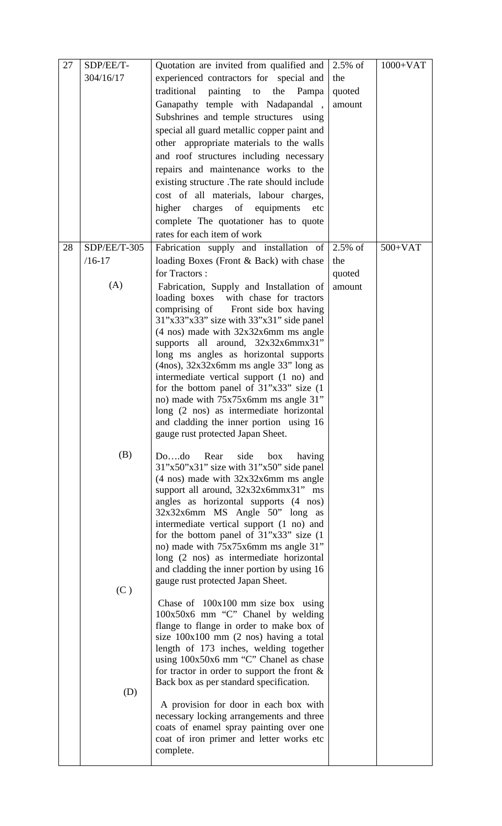| 27 | SDP/EE/T-    | Quotation are invited from qualified and                                            | $2.5\%$ of | $1000+VAT$ |
|----|--------------|-------------------------------------------------------------------------------------|------------|------------|
|    | 304/16/17    | experienced contractors for special and                                             | the        |            |
|    |              | traditional<br>painting<br>the<br>to<br>Pampa                                       | quoted     |            |
|    |              |                                                                                     |            |            |
|    |              | Ganapathy temple with Nadapandal,                                                   | amount     |            |
|    |              | Subshrines and temple structures using                                              |            |            |
|    |              | special all guard metallic copper paint and                                         |            |            |
|    |              | other appropriate materials to the walls                                            |            |            |
|    |              | and roof structures including necessary                                             |            |            |
|    |              | repairs and maintenance works to the                                                |            |            |
|    |              | existing structure .The rate should include                                         |            |            |
|    |              | cost of all materials, labour charges,                                              |            |            |
|    |              | charges of equipments<br>higher<br>etc                                              |            |            |
|    |              | complete The quotationer has to quote                                               |            |            |
|    |              | rates for each item of work                                                         |            |            |
| 28 | SDP/EE/T-305 | Fabrication supply and installation of                                              | $2.5\%$ of | $500+VAT$  |
|    | $/16 - 17$   | loading Boxes (Front & Back) with chase                                             | the        |            |
|    |              | for Tractors:                                                                       | quoted     |            |
|    | (A)          | Fabrication, Supply and Installation of                                             | amount     |            |
|    |              | loading boxes with chase for tractors                                               |            |            |
|    |              | comprising of Front side box having                                                 |            |            |
|    |              | $31"x33"x33"$ size with $33"x31"$ side panel                                        |            |            |
|    |              | $(4 \text{ nos})$ made with $32x32x6mm$ ms angle                                    |            |            |
|    |              | supports all around, 32x32x6mmx31"                                                  |            |            |
|    |              | long ms angles as horizontal supports                                               |            |            |
|    |              | $(4nos)$ , $32x32x6mm$ ms angle 33" long as                                         |            |            |
|    |              | intermediate vertical support (1 no) and                                            |            |            |
|    |              | for the bottom panel of $31"x33"$ size (1)                                          |            |            |
|    |              | no) made with 75x75x6mm ms angle 31"                                                |            |            |
|    |              | long (2 nos) as intermediate horizontal                                             |            |            |
|    |              | and cladding the inner portion using 16<br>gauge rust protected Japan Sheet.        |            |            |
|    |              |                                                                                     |            |            |
|    | (B)          | side<br>Dodo<br>Rear<br>box<br>having                                               |            |            |
|    |              | $31"x50"x31"$ size with $31"x50"$ side panel                                        |            |            |
|    |              | $(4 \text{ nos})$ made with $32x32x6mm$ ms angle                                    |            |            |
|    |              | support all around, $32x32x6mmx31"$ ms                                              |            |            |
|    |              | angles as horizontal supports (4 nos)                                               |            |            |
|    |              | 32x32x6mm MS Angle 50" long as                                                      |            |            |
|    |              | intermediate vertical support (1 no) and                                            |            |            |
|    |              | for the bottom panel of $31"x33"$ size (1)                                          |            |            |
|    |              | no) made with 75x75x6mm ms angle 31"                                                |            |            |
|    |              | long (2 nos) as intermediate horizontal                                             |            |            |
|    |              | and cladding the inner portion by using 16                                          |            |            |
|    | (C)          | gauge rust protected Japan Sheet.                                                   |            |            |
|    |              | Chase of $100x100$ mm size box using                                                |            |            |
|    |              | 100x50x6 mm "C" Chanel by welding                                                   |            |            |
|    |              | flange to flange in order to make box of                                            |            |            |
|    |              | size $100x100$ mm $(2 \text{ nos})$ having a total                                  |            |            |
|    |              | length of 173 inches, welding together                                              |            |            |
|    |              | using 100x50x6 mm "C" Chanel as chase                                               |            |            |
|    |              | for tractor in order to support the front $\&$                                      |            |            |
|    |              | Back box as per standard specification.                                             |            |            |
|    | (D)          |                                                                                     |            |            |
|    |              | A provision for door in each box with                                               |            |            |
|    |              | necessary locking arrangements and three                                            |            |            |
|    |              | coats of enamel spray painting over one<br>coat of iron primer and letter works etc |            |            |
|    |              | complete.                                                                           |            |            |
|    |              |                                                                                     |            |            |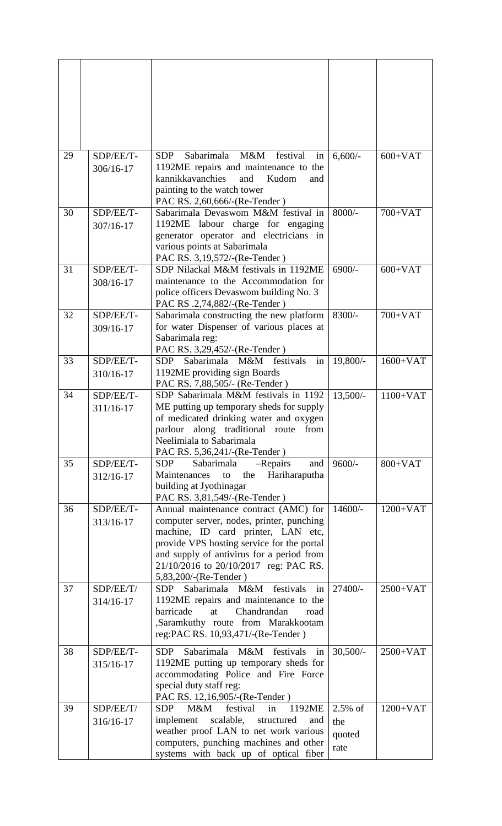| 29 | SDP/EE/T-<br>306/16-17 | Sabarimala<br>M&M<br>festival<br><b>SDP</b><br>in<br>1192ME repairs and maintenance to the<br>kannikkavanchies<br>Kudom<br>and<br>and<br>painting to the watch tower<br>PAC RS. 2,60,666/-(Re-Tender)                                                                                 | $6,600/$ -                          | $600+VAT$  |
|----|------------------------|---------------------------------------------------------------------------------------------------------------------------------------------------------------------------------------------------------------------------------------------------------------------------------------|-------------------------------------|------------|
| 30 | SDP/EE/T-<br>307/16-17 | Sabarimala Devaswom M&M festival in<br>1192ME labour charge for engaging<br>generator operator and electricians in<br>various points at Sabarimala<br>PAC RS. 3,19,572/-(Re-Tender)                                                                                                   | $8000/-$                            | $700+VAT$  |
| 31 | SDP/EE/T-<br>308/16-17 | SDP Nilackal M&M festivals in 1192ME<br>maintenance to the Accommodation for<br>police officers Devaswom building No. 3<br>PAC RS .2,74,882/-(Re-Tender)                                                                                                                              | $6900/-$                            | $600+VAT$  |
| 32 | SDP/EE/T-<br>309/16-17 | Sabarimala constructing the new platform<br>for water Dispenser of various places at<br>Sabarimala reg:<br>PAC RS. 3,29,452/-(Re-Tender)                                                                                                                                              | 8300/-                              | $700+VAT$  |
| 33 | SDP/EE/T-<br>310/16-17 | M&M festivals<br>Sabarimala<br>in<br><b>SDP</b><br>1192ME providing sign Boards<br>PAC RS. 7,88,505/- (Re-Tender)                                                                                                                                                                     | 19,800/-                            | $1600+VAT$ |
| 34 | SDP/EE/T-<br>311/16-17 | SDP Sabarimala M&M festivals in 1192<br>ME putting up temporary sheds for supply<br>of medicated drinking water and oxygen<br>parlour along traditional route from<br>Neelimiala to Sabarimala<br>PAC RS. 5,36,241/-(Re-Tender)                                                       | $13,500/-$                          | $1100+VAT$ |
| 35 | SDP/EE/T-<br>312/16-17 | Sabarimala<br>SDP<br>$-$ Repairs<br>and<br>Hariharaputha<br>Maintenances<br>the<br>to<br>building at Jyothinagar<br>PAC RS. 3,81,549/-(Re-Tender)                                                                                                                                     | $9600/-$                            | $800+VAT$  |
| 36 | SDP/EE/T-<br>313/16-17 | Annual maintenance contract (AMC) for<br>computer server, nodes, printer, punching<br>machine, ID card printer, LAN etc,<br>provide VPS hosting service for the portal<br>and supply of antivirus for a period from<br>21/10/2016 to 20/10/2017 reg: PAC RS.<br>5,83,200/-(Re-Tender) | $14600/-$                           | $1200+VAT$ |
| 37 | SDP/EE/T/<br>314/16-17 | Sabarimala M&M<br>festivals<br>in<br><b>SDP</b><br>1192ME repairs and maintenance to the<br>Chandrandan<br>barricade<br>at<br>road<br>,Saramkuthy route from Marakkootam<br>reg:PAC RS. 10,93,471/-(Re-Tender)                                                                        | 27400/-                             | $2500+VAT$ |
| 38 | SDP/EE/T-<br>315/16-17 | Sabarimala M&M festivals<br><b>SDP</b><br>in<br>1192ME putting up temporary sheds for<br>accommodating Police and Fire Force<br>special duty staff reg:<br>PAC RS. 12,16,905/-(Re-Tender)                                                                                             | $30,500/-$                          | $2500+VAT$ |
| 39 | SDP/EE/T/<br>316/16-17 | 1192ME<br><b>SDP</b><br>M&M<br>festival<br>in<br>implement scalable,<br>structured<br>and<br>weather proof LAN to net work various<br>computers, punching machines and other<br>systems with back up of optical fiber                                                                 | $2.5\%$ of<br>the<br>quoted<br>rate | $1200+VAT$ |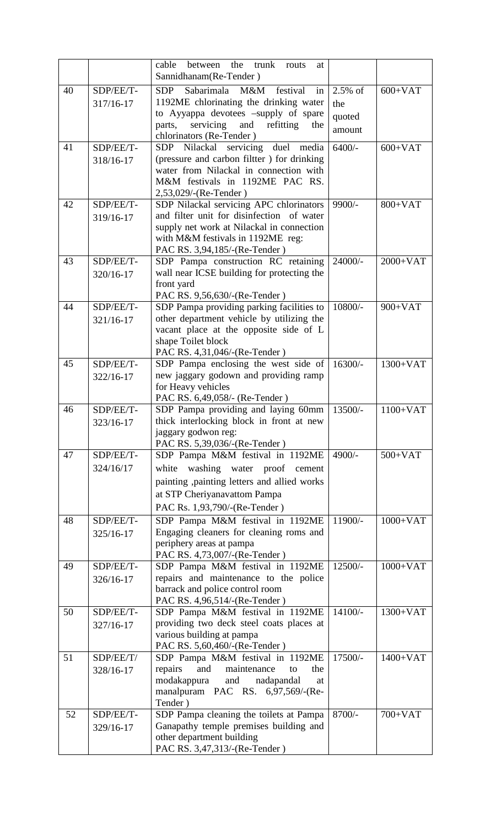|    |           | cable<br>between<br>the<br>trunk<br>routs<br>at                           |           |            |
|----|-----------|---------------------------------------------------------------------------|-----------|------------|
|    |           | Sannidhanam(Re-Tender)                                                    |           |            |
| 40 | SDP/EE/T- | Sabarimala M&M festival<br>2.5% of<br><b>SDP</b><br>in                    |           | $600+VAT$  |
|    | 317/16-17 | 1192ME chlorinating the drinking water                                    | the       |            |
|    |           | to Ayyappa devotees -supply of spare                                      | quoted    |            |
|    |           | and<br>servicing<br>refitting<br>the<br>parts,                            | amount    |            |
| 41 | SDP/EE/T- | chlorinators (Re-Tender)<br>$6400/-$<br>SDP Nilackal servicing duel media |           | $600+VAT$  |
|    | 318/16-17 | (pressure and carbon filtter) for drinking                                |           |            |
|    |           | water from Nilackal in connection with                                    |           |            |
|    |           | M&M festivals in 1192ME PAC RS.                                           |           |            |
|    |           | 2,53,029/-(Re-Tender)                                                     |           |            |
| 42 | SDP/EE/T- | SDP Nilackal servicing APC chlorinators                                   | 9900/-    | $800+VAT$  |
|    | 319/16-17 | and filter unit for disinfection of water                                 |           |            |
|    |           | supply net work at Nilackal in connection                                 |           |            |
|    |           | with M&M festivals in 1192ME reg:                                         |           |            |
| 43 | SDP/EE/T- | PAC RS. 3,94,185/-(Re-Tender)<br>SDP Pampa construction RC retaining      | 24000/-   | $2000+VAT$ |
|    | 320/16-17 | wall near ICSE building for protecting the                                |           |            |
|    |           | front yard                                                                |           |            |
|    |           | PAC RS. 9,56,630/-(Re-Tender)                                             |           |            |
| 44 | SDP/EE/T- | SDP Pampa providing parking facilities to                                 | 10800/-   | $900+VAT$  |
|    | 321/16-17 | other department vehicle by utilizing the                                 |           |            |
|    |           | vacant place at the opposite side of L                                    |           |            |
|    |           | shape Toilet block                                                        |           |            |
| 45 | SDP/EE/T- | PAC RS. 4,31,046/-(Re-Tender)<br>SDP Pampa enclosing the west side of     | $16300/-$ | $1300+VAT$ |
|    | 322/16-17 | new jaggary godown and providing ramp                                     |           |            |
|    |           | for Heavy vehicles                                                        |           |            |
|    |           | PAC RS. 6,49,058/- (Re-Tender)                                            |           |            |
| 46 | SDP/EE/T- | SDP Pampa providing and laying 60mm                                       | 13500/-   | $1100+VAT$ |
|    | 323/16-17 | thick interlocking block in front at new                                  |           |            |
|    |           | jaggary godwon reg:                                                       |           |            |
|    |           | PAC RS. 5,39,036/-(Re-Tender)                                             |           |            |
| 47 | SDP/EE/T- | SDP Pampa M&M festival in 1192ME                                          | $4900/-$  | $500+VAT$  |
|    | 324/16/17 | washing water proof cement<br>white                                       |           |            |
|    |           | painting ,painting letters and allied works                               |           |            |
|    |           | at STP Cheriyanavattom Pampa                                              |           |            |
|    |           | PAC Rs. 1,93,790/-(Re-Tender)                                             |           |            |
| 48 | SDP/EE/T- | SDP Pampa M&M festival in 1192ME                                          | 11900/-   | $1000+VAT$ |
|    | 325/16-17 | Engaging cleaners for cleaning roms and<br>periphery areas at pampa       |           |            |
|    |           | PAC RS. 4,73,007/-(Re-Tender)                                             |           |            |
| 49 | SDP/EE/T- | SDP Pampa M&M festival in 1192ME                                          | 12500/-   | $1000+VAT$ |
|    | 326/16-17 | repairs and maintenance to the police                                     |           |            |
|    |           | barrack and police control room                                           |           |            |
|    |           | PAC RS. 4,96,514/-(Re-Tender)                                             |           |            |
| 50 | SDP/EE/T- | SDP Pampa M&M festival in 1192ME                                          | $14100/-$ | 1300+VAT   |
|    | 327/16-17 | providing two deck steel coats places at                                  |           |            |
|    |           | various building at pampa<br>PAC RS. 5,60,460/-(Re-Tender)                |           |            |
| 51 | SDP/EE/T/ | SDP Pampa M&M festival in 1192ME                                          | 17500/-   | $1400+VAT$ |
|    | 328/16-17 | and<br>maintenance<br>repairs<br>to<br>the                                |           |            |
|    |           | modakappura<br>and<br>nadapandal<br>at                                    |           |            |
|    |           | manalpuram PAC RS. 6,97,569/-(Re-                                         |           |            |
|    |           | Tender)                                                                   |           |            |
| 52 | SDP/EE/T- | SDP Pampa cleaning the toilets at Pampa                                   | 8700/-    | $700+VAT$  |
|    | 329/16-17 | Ganapathy temple premises building and                                    |           |            |
|    |           | other department building<br>PAC RS. 3,47,313/-(Re-Tender)                |           |            |
|    |           |                                                                           |           |            |